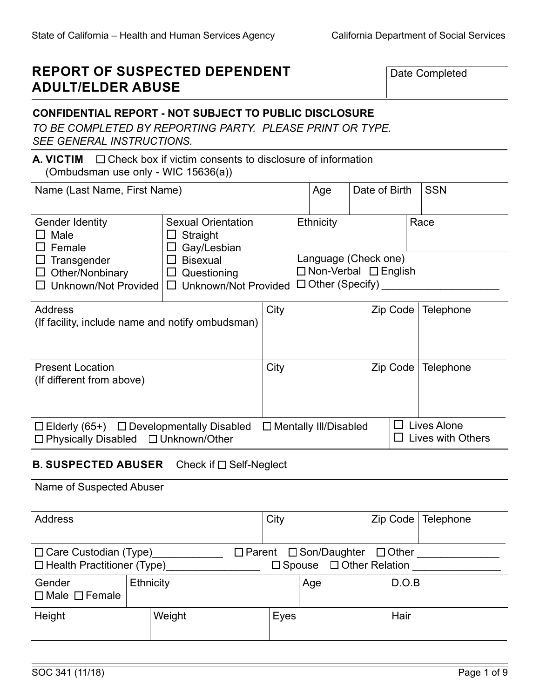# **REPORT OF SUSPECTED DEPENDENT ADULT/ELDER ABUSE**

Date Completed

# **CONFIDENTIAL REPORT - NOT SUBJECT TO PUBLIC DISCLOSURE**

*TO BE COMPLETED BY REPORTING PARTY. PLEASE PRINT OR TYPE. SEE GENERAL INSTRUCTIONS.*

#### **A. VICTIM** Check box if victim consents to disclosure of information (Ombudsman use only - WIC 15636(a))

| Name (Last Name, First Name)                                                                            |                                                                                                                       |      |                                     | Date of Birth                                                    |  | <b>SSN</b>                       |
|---------------------------------------------------------------------------------------------------------|-----------------------------------------------------------------------------------------------------------------------|------|-------------------------------------|------------------------------------------------------------------|--|----------------------------------|
| <b>Gender Identity</b><br>Male<br>Female<br>Transgender<br>Other/Nonbinary<br>Unknown/Not Provided      | <b>Sexual Orientation</b><br>Straight<br>Gay/Lesbian<br><b>Bisexual</b><br>Questioning<br><b>Unknown/Not Provided</b> |      | Ethnicity<br>$\Box$ Other (Specify) | Race<br>Language (Check one)<br>$\Box$ Non-Verbal $\Box$ English |  |                                  |
| <b>Address</b><br>(If facility, include name and notify ombudsman)                                      |                                                                                                                       | City |                                     | Zip Code                                                         |  | <b>Telephone</b>                 |
| <b>Present Location</b><br>(If different from above)                                                    |                                                                                                                       | City |                                     | Zip Code                                                         |  | Telephone                        |
| $\Box$ Elderly (65+) $\Box$ Developmentally Disabled<br>$\Box$ Physically Disabled $\Box$ Unknown/Other |                                                                                                                       |      | $\Box$ Mentally III/Disabled        |                                                                  |  | Lives Alone<br>Lives with Others |

# **B. SUSPECTED ABUSER** Check if □ Self-Neglect

#### Name of Suspected Abuser

| <b>Address</b>                                                    |  |           |  | City                                                                                  |     | Zip Code | Telephone |
|-------------------------------------------------------------------|--|-----------|--|---------------------------------------------------------------------------------------|-----|----------|-----------|
| $\Box$ Care Custodian (Type)<br>$\Box$ Health Practitioner (Type) |  |           |  | $\Box$ Parent $\Box$ Son/Daughter $\Box$ Other<br>$\Box$ Spouse $\Box$ Other Relation |     |          |           |
| Gender<br>$\Box$ Male $\Box$ Female                               |  | Ethnicity |  |                                                                                       | Age | D.O.B    |           |
| Height                                                            |  | Weight    |  | Eyes                                                                                  |     | Hair     |           |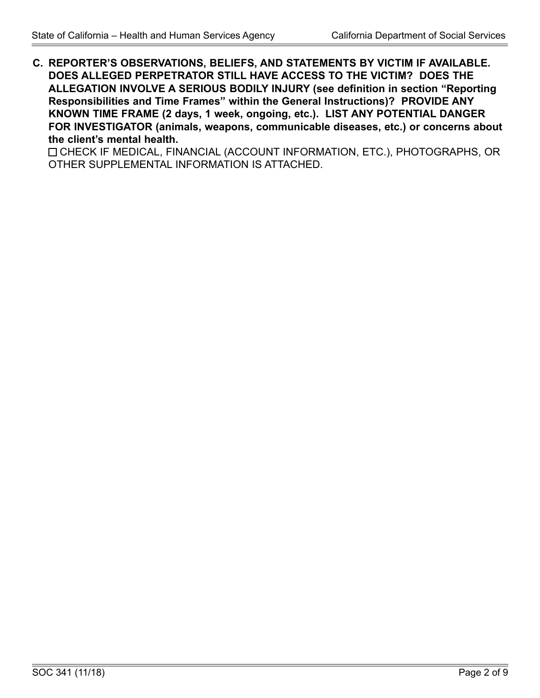**C. REPORTER'S OBSERVATIONS, BELIEFS, AND STATEMENTS BY VICTIM IF AVAILABLE. DOES ALLEGED PERPETRATOR STILL HAVE ACCESS TO THE VICTIM? DOES THE ALLEGATION INVOLVE A SERIOUS BODILY INJURY (see definition in section "Reporting Responsibilities and Time Frames" within the General Instructions)? PROVIDE ANY KNOWN TIME FRAME (2 days, 1 week, ongoing, etc.). LIST ANY POTENTIAL DANGER FOR INVESTIGATOR (animals, weapons, communicable diseases, etc.) or concerns about the client's mental health.**

CHECK IF MEDICAL, FINANCIAL (ACCOUNT INFORMATION, ETC.), PHOTOGRAPHS, OR OTHER SUPPLEMENTAL INFORMATION IS ATTACHED.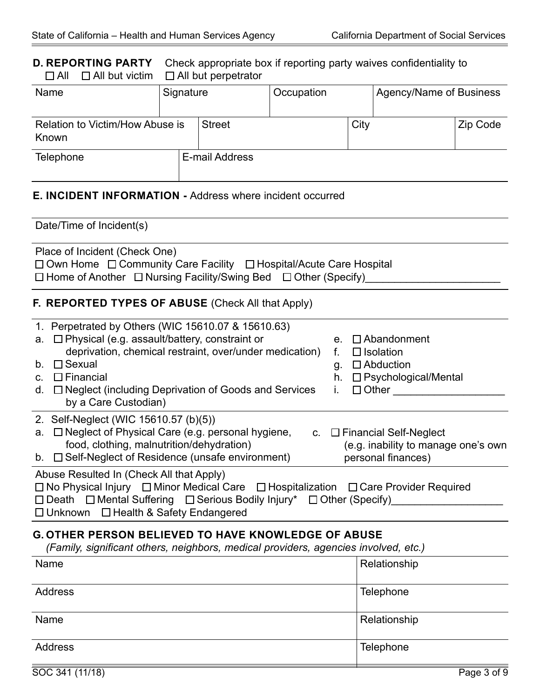### **D. REPORTING PARTY** Check appropriate box if reporting party waives confidentiality to <br> **D** All **D** All but victim **D** All but perpetrator  $\Box$  All  $\Box$  All but victim

| Name                                     | Signature |                | Occupation |      | Agency/Name of Business |          |
|------------------------------------------|-----------|----------------|------------|------|-------------------------|----------|
| Relation to Victim/How Abuse is<br>Known |           | <b>Street</b>  |            | City |                         | Zip Code |
| <b>Telephone</b>                         |           | E-mail Address |            |      |                         |          |

# **E. INCIDENT INFORMATION -** Address where incident occurred

| Date/Time of Incident(s)                                                                                                                                                                                                                                                                                                        |                                                                                                                                       |
|---------------------------------------------------------------------------------------------------------------------------------------------------------------------------------------------------------------------------------------------------------------------------------------------------------------------------------|---------------------------------------------------------------------------------------------------------------------------------------|
| Place of Incident (Check One)<br>$\Box$ Own Home $\Box$ Community Care Facility $\Box$ Hospital/Acute Care Hospital<br>$\Box$ Home of Another $\Box$ Nursing Facility/Swing Bed $\Box$ Other (Specify)                                                                                                                          |                                                                                                                                       |
| <b>F. REPORTED TYPES OF ABUSE (Check All that Apply)</b>                                                                                                                                                                                                                                                                        |                                                                                                                                       |
| 1. Perpetrated by Others (WIC 15610.07 & 15610.63)<br>a. $\Box$ Physical (e.g. assault/battery, constraint or<br>deprivation, chemical restraint, over/under medication)<br>$\Box$ Sexual<br>b.<br>$\Box$ Financial<br>$C_{\cdot}$<br>$\Box$ Neglect (including Deprivation of Goods and Services<br>d.<br>by a Care Custodian) | $\Box$ Abandonment<br>$e_{\cdot}$<br>$\Box$ Isolation<br>$\Box$ Abduction<br>g.<br>□ Psychological/Mental<br>h.<br>$\Box$ Other<br>İ. |
| 2. Self-Neglect (WIC 15610.57 (b)(5))<br>a. $\Box$ Neglect of Physical Care (e.g. personal hygiene,<br>food, clothing, malnutrition/dehydration)<br>b. $\Box$ Self-Neglect of Residence (unsafe environment)                                                                                                                    | c. $\Box$ Financial Self-Neglect<br>(e.g. inability to manage one's own<br>personal finances)                                         |
| Abuse Resulted In (Check All that Apply)<br>□ No Physical Injury □ Minor Medical Care □ Hospitalization □ Care Provider Required<br>$\Box$ Death $\Box$ Mental Suffering $\Box$ Serious Bodily Injury* $\Box$ Other (Specify)<br>□ Unknown □ Health & Safety Endangered                                                         |                                                                                                                                       |

# **G. OTHER PERSON BELIEVED TO HAVE KNOWLEDGE OF ABUSE**

*(Family, significant others, neighbors, medical providers, agencies involved, etc.)*

| Name           | Relationship |
|----------------|--------------|
| <b>Address</b> | Telephone    |
| Name           | Relationship |
| <b>Address</b> | Telephone    |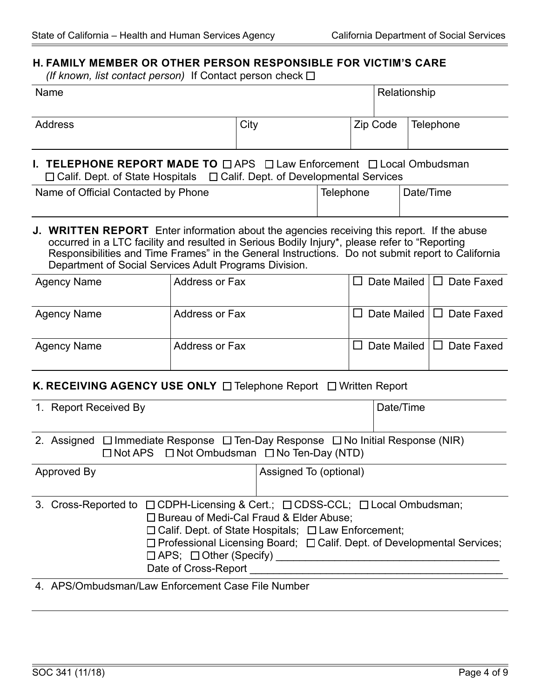### **H. FAMILY MEMBER OR OTHER PERSON RESPONSIBLE FOR VICTIM'S CARE**

*(If known, list contact person)* If Contact person check

| Name                                                                                                                                                                                                                 |      |          | Relationship |  |
|----------------------------------------------------------------------------------------------------------------------------------------------------------------------------------------------------------------------|------|----------|--------------|--|
| Address                                                                                                                                                                                                              | City | Zip Code | Telephone    |  |
|                                                                                                                                                                                                                      |      |          |              |  |
| <b>I. TELEPHONE REPORT MADE TO <math>\Box</math> APS <math>\Box</math> Law Enforcement <math>\Box</math> Local Ombudsman</b><br>$\Box$ Calif. Dept. of State Hospitals $\Box$ Calif. Dept. of Developmental Services |      |          |              |  |

### occurred in a LTC facility and resulted in Serious Bodily Injury\*, please refer to "Reporting Responsibilities and Time Frames" in the General Instructions. Do not submit report to California Department of Social Services Adult Programs Division.

| <b>Agency Name</b> | Address or Fax        | Date Mailed $\Box$ Date Faxed |
|--------------------|-----------------------|-------------------------------|
| <b>Agency Name</b> | <b>Address or Fax</b> | Date Mailed $\Box$ Date Faxed |
| <b>Agency Name</b> | <b>Address or Fax</b> | Date Mailed $\Box$ Date Faxed |

#### **K. RECEIVING AGENCY USE ONLY** □ Telephone Report □ Written Report

| 1. Report Received By                                                                                                                                                                                      |                                                       | Date/Time                                                                           |
|------------------------------------------------------------------------------------------------------------------------------------------------------------------------------------------------------------|-------------------------------------------------------|-------------------------------------------------------------------------------------|
| 2. Assigned $\Box$ Immediate Response $\Box$ Ten-Day Response $\Box$ No Initial Response (NIR)<br>$\Box$ Not APS $\Box$ Not Ombudsman $\Box$ No Ten-Day (NTD)                                              |                                                       |                                                                                     |
| Approved By                                                                                                                                                                                                | Assigned To (optional)                                |                                                                                     |
| Cross-Reported to $\Box$ CDPH-Licensing & Cert.; $\Box$ CDSS-CCL; $\Box$ Local Ombudsman;<br>3.<br>□ Bureau of Medi-Cal Fraud & Elder Abuse;<br>$\Box$ APS; $\Box$ Other (Specify)<br>Date of Cross-Report | □ Calif. Dept. of State Hospitals; □ Law Enforcement; | $\Box$ Professional Licensing Board; $\Box$ Calif. Dept. of Developmental Services; |
| APS/Ombudsman/Law Enforcement Case File Number                                                                                                                                                             |                                                       |                                                                                     |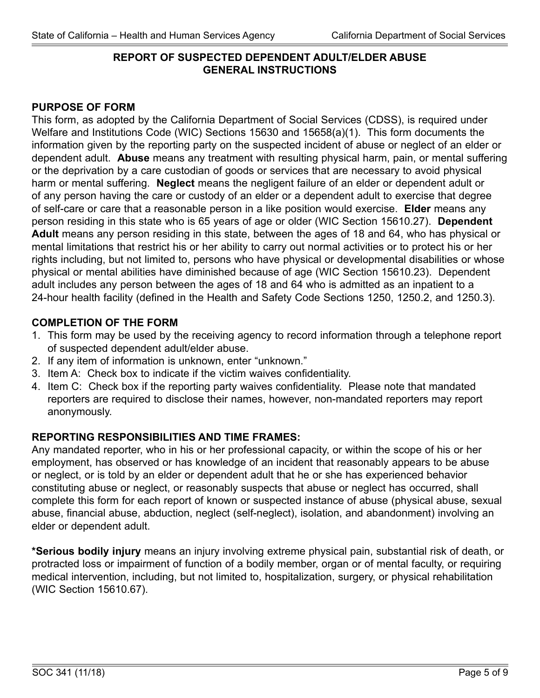# **REPORT OF SUSPECTED DEPENDENT ADULT/ELDER ABUSE GENERAL INSTRUCTIONS**

# **PURPOSE OF FORM**

This form, as adopted by the California Department of Social Services (CDSS), is required under Welfare and Institutions Code (WIC) Sections 15630 and 15658(a)(1). This form documents the information given by the reporting party on the suspected incident of abuse or neglect of an elder or dependent adult. **Abuse** means any treatment with resulting physical harm, pain, or mental suffering or the deprivation by a care custodian of goods or services that are necessary to avoid physical harm or mental suffering. **Neglect** means the negligent failure of an elder or dependent adult or of any person having the care or custody of an elder or a dependent adult to exercise that degree of self-care or care that a reasonable person in a like position would exercise. **Elder** means any person residing in this state who is 65 years of age or older (WIC Section 15610.27). **Dependent Adult** means any person residing in this state, between the ages of 18 and 64, who has physical or mental limitations that restrict his or her ability to carry out normal activities or to protect his or her rights including, but not limited to, persons who have physical or developmental disabilities or whose physical or mental abilities have diminished because of age (WIC Section 15610.23). Dependent adult includes any person between the ages of 18 and 64 who is admitted as an inpatient to a 24-hour health facility (defined in the Health and Safety Code Sections 1250, 1250.2, and 1250.3).

# **COMPLETION OF THE FORM**

- 1. This form may be used by the receiving agency to record information through a telephone report of suspected dependent adult/elder abuse.
- 2. If any item of information is unknown, enter "unknown."
- 3. Item A: Check box to indicate if the victim waives confidentiality.
- 4. Item C: Check box if the reporting party waives confidentiality. Please note that mandated reporters are required to disclose their names, however, non-mandated reporters may report anonymously.

# **REPORTING RESPONSIBILITIES AND TIME FRAMES:**

Any mandated reporter, who in his or her professional capacity, or within the scope of his or her employment, has observed or has knowledge of an incident that reasonably appears to be abuse or neglect, or is told by an elder or dependent adult that he or she has experienced behavior constituting abuse or neglect, or reasonably suspects that abuse or neglect has occurred, shall complete this form for each report of known or suspected instance of abuse (physical abuse, sexual abuse, financial abuse, abduction, neglect (self-neglect), isolation, and abandonment) involving an elder or dependent adult.

**\*Serious bodily injury** means an injury involving extreme physical pain, substantial risk of death, or protracted loss or impairment of function of a bodily member, organ or of mental faculty, or requiring medical intervention, including, but not limited to, hospitalization, surgery, or physical rehabilitation (WIC Section 15610.67).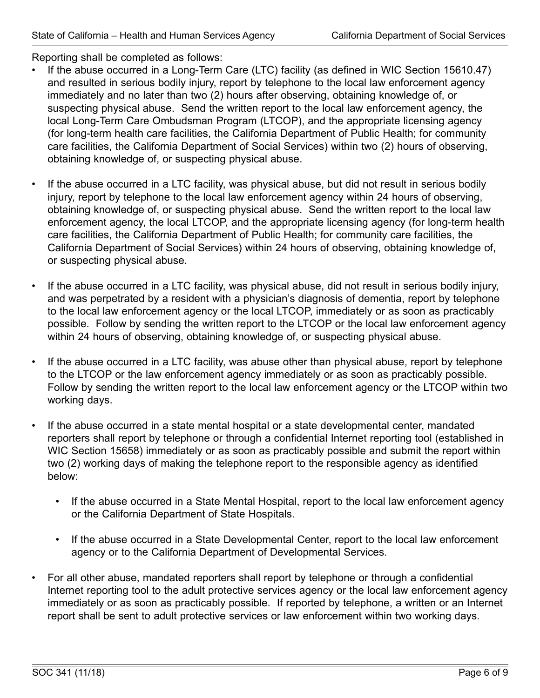Reporting shall be completed as follows:

- If the abuse occurred in a Long-Term Care (LTC) facility (as defined in WIC Section 15610.47) and resulted in serious bodily injury, report by telephone to the local law enforcement agency immediately and no later than two (2) hours after observing, obtaining knowledge of, or suspecting physical abuse. Send the written report to the local law enforcement agency, the local Long-Term Care Ombudsman Program (LTCOP), and the appropriate licensing agency (for long-term health care facilities, the California Department of Public Health; for community care facilities, the California Department of Social Services) within two (2) hours of observing, obtaining knowledge of, or suspecting physical abuse.
- If the abuse occurred in a LTC facility, was physical abuse, but did not result in serious bodily injury, report by telephone to the local law enforcement agency within 24 hours of observing, obtaining knowledge of, or suspecting physical abuse. Send the written report to the local law enforcement agency, the local LTCOP, and the appropriate licensing agency (for long-term health care facilities, the California Department of Public Health; for community care facilities, the California Department of Social Services) within 24 hours of observing, obtaining knowledge of, or suspecting physical abuse.
- If the abuse occurred in a LTC facility, was physical abuse, did not result in serious bodily injury, and was perpetrated by a resident with a physician's diagnosis of dementia, report by telephone to the local law enforcement agency or the local LTCOP, immediately or as soon as practicably possible. Follow by sending the written report to the LTCOP or the local law enforcement agency within 24 hours of observing, obtaining knowledge of, or suspecting physical abuse.
- If the abuse occurred in a LTC facility, was abuse other than physical abuse, report by telephone to the LTCOP or the law enforcement agency immediately or as soon as practicably possible. Follow by sending the written report to the local law enforcement agency or the LTCOP within two working days.
- If the abuse occurred in a state mental hospital or a state developmental center, mandated reporters shall report by telephone or through a confidential Internet reporting tool (established in WIC Section 15658) immediately or as soon as practicably possible and submit the report within two (2) working days of making the telephone report to the responsible agency as identified below:
	- If the abuse occurred in a State Mental Hospital, report to the local law enforcement agency or the California Department of State Hospitals.
	- If the abuse occurred in a State Developmental Center, report to the local law enforcement agency or to the California Department of Developmental Services.
- For all other abuse, mandated reporters shall report by telephone or through a confidential Internet reporting tool to the adult protective services agency or the local law enforcement agency immediately or as soon as practicably possible. If reported by telephone, a written or an Internet report shall be sent to adult protective services or law enforcement within two working days.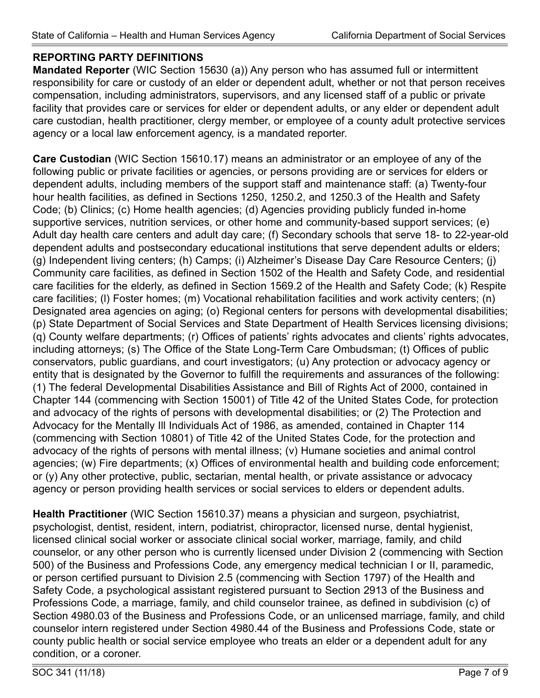# **REPORTING PARTY DEFINITIONS**

**Mandated Reporter** (WIC Section 15630 (a)) Any person who has assumed full or intermittent responsibility for care or custody of an elder or dependent adult, whether or not that person receives compensation, including administrators, supervisors, and any licensed staff of a public or private facility that provides care or services for elder or dependent adults, or any elder or dependent adult care custodian, health practitioner, clergy member, or employee of a county adult protective services agency or a local law enforcement agency, is a mandated reporter.

**Care Custodian** (WIC Section 15610.17) means an administrator or an employee of any of the following public or private facilities or agencies, or persons providing are or services for elders or dependent adults, including members of the support staff and maintenance staff: (a) Twenty-four hour health facilities, as defined in Sections 1250, 1250.2, and 1250.3 of the Health and Safety Code; (b) Clinics; (c) Home health agencies; (d) Agencies providing publicly funded in-home supportive services, nutrition services, or other home and community-based support services; (e) Adult day health care centers and adult day care; (f) Secondary schools that serve 18- to 22-year-old dependent adults and postsecondary educational institutions that serve dependent adults or elders; (g) Independent living centers; (h) Camps; (i) Alzheimer's Disease Day Care Resource Centers; (j) Community care facilities, as defined in Section 1502 of the Health and Safety Code, and residential care facilities for the elderly, as defined in Section 1569.2 of the Health and Safety Code; (k) Respite care facilities; (l) Foster homes; (m) Vocational rehabilitation facilities and work activity centers; (n) Designated area agencies on aging; (o) Regional centers for persons with developmental disabilities; (p) State Department of Social Services and State Department of Health Services licensing divisions; (q) County welfare departments; (r) Offices of patients' rights advocates and clients' rights advocates, including attorneys; (s) The Office of the State Long-Term Care Ombudsman; (t) Offices of public conservators, public guardians, and court investigators; (u) Any protection or advocacy agency or entity that is designated by the Governor to fulfill the requirements and assurances of the following: (1) The federal Developmental Disabilities Assistance and Bill of Rights Act of 2000, contained in Chapter 144 (commencing with Section 15001) of Title 42 of the United States Code, for protection and advocacy of the rights of persons with developmental disabilities; or (2) The Protection and Advocacy for the Mentally Ill Individuals Act of 1986, as amended, contained in Chapter 114 (commencing with Section 10801) of Title 42 of the United States Code, for the protection and advocacy of the rights of persons with mental illness; (v) Humane societies and animal control agencies; (w) Fire departments; (x) Offices of environmental health and building code enforcement; or (y) Any other protective, public, sectarian, mental health, or private assistance or advocacy agency or person providing health services or social services to elders or dependent adults.

**Health Practitioner** (WIC Section 15610.37) means a physician and surgeon, psychiatrist, psychologist, dentist, resident, intern, podiatrist, chiropractor, licensed nurse, dental hygienist, licensed clinical social worker or associate clinical social worker, marriage, family, and child counselor, or any other person who is currently licensed under Division 2 (commencing with Section 500) of the Business and Professions Code, any emergency medical technician I or II, paramedic, or person certified pursuant to Division 2.5 (commencing with Section 1797) of the Health and Safety Code, a psychological assistant registered pursuant to Section 2913 of the Business and Professions Code, a marriage, family, and child counselor trainee, as defined in subdivision (c) of Section 4980.03 of the Business and Professions Code, or an unlicensed marriage, family, and child counselor intern registered under Section 4980.44 of the Business and Professions Code, state or county public health or social service employee who treats an elder or a dependent adult for any condition, or a coroner.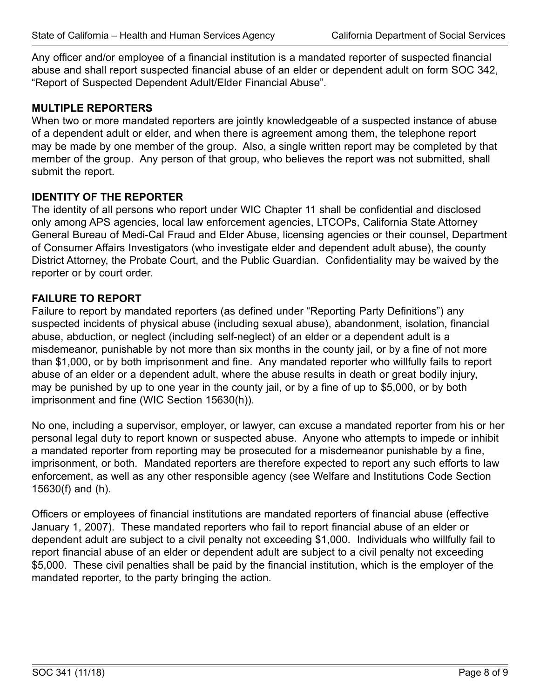Any officer and/or employee of a financial institution is a mandated reporter of suspected financial abuse and shall report suspected financial abuse of an elder or dependent adult on form SOC 342, "Report of Suspected Dependent Adult/Elder Financial Abuse".

# **MULTIPLE REPORTERS**

When two or more mandated reporters are jointly knowledgeable of a suspected instance of abuse of a dependent adult or elder, and when there is agreement among them, the telephone report may be made by one member of the group. Also, a single written report may be completed by that member of the group. Any person of that group, who believes the report was not submitted, shall submit the report.

# **IDENTITY OF THE REPORTER**

The identity of all persons who report under WIC Chapter 11 shall be confidential and disclosed only among APS agencies, local law enforcement agencies, LTCOPs, California State Attorney General Bureau of Medi-Cal Fraud and Elder Abuse, licensing agencies or their counsel, Department of Consumer Affairs Investigators (who investigate elder and dependent adult abuse), the county District Attorney, the Probate Court, and the Public Guardian. Confidentiality may be waived by the reporter or by court order.

#### **FAILURE TO REPORT**

Failure to report by mandated reporters (as defined under "Reporting Party Definitions") any suspected incidents of physical abuse (including sexual abuse), abandonment, isolation, financial abuse, abduction, or neglect (including self-neglect) of an elder or a dependent adult is a misdemeanor, punishable by not more than six months in the county jail, or by a fine of not more than \$1,000, or by both imprisonment and fine. Any mandated reporter who willfully fails to report abuse of an elder or a dependent adult, where the abuse results in death or great bodily injury, may be punished by up to one year in the county jail, or by a fine of up to \$5,000, or by both imprisonment and fine (WIC Section 15630(h)).

No one, including a supervisor, employer, or lawyer, can excuse a mandated reporter from his or her personal legal duty to report known or suspected abuse. Anyone who attempts to impede or inhibit a mandated reporter from reporting may be prosecuted for a misdemeanor punishable by a fine, imprisonment, or both. Mandated reporters are therefore expected to report any such efforts to law enforcement, as well as any other responsible agency (see Welfare and Institutions Code Section 15630(f) and (h).

Officers or employees of financial institutions are mandated reporters of financial abuse (effective January 1, 2007). These mandated reporters who fail to report financial abuse of an elder or dependent adult are subject to a civil penalty not exceeding \$1,000. Individuals who willfully fail to report financial abuse of an elder or dependent adult are subject to a civil penalty not exceeding \$5,000. These civil penalties shall be paid by the financial institution, which is the employer of the mandated reporter, to the party bringing the action.